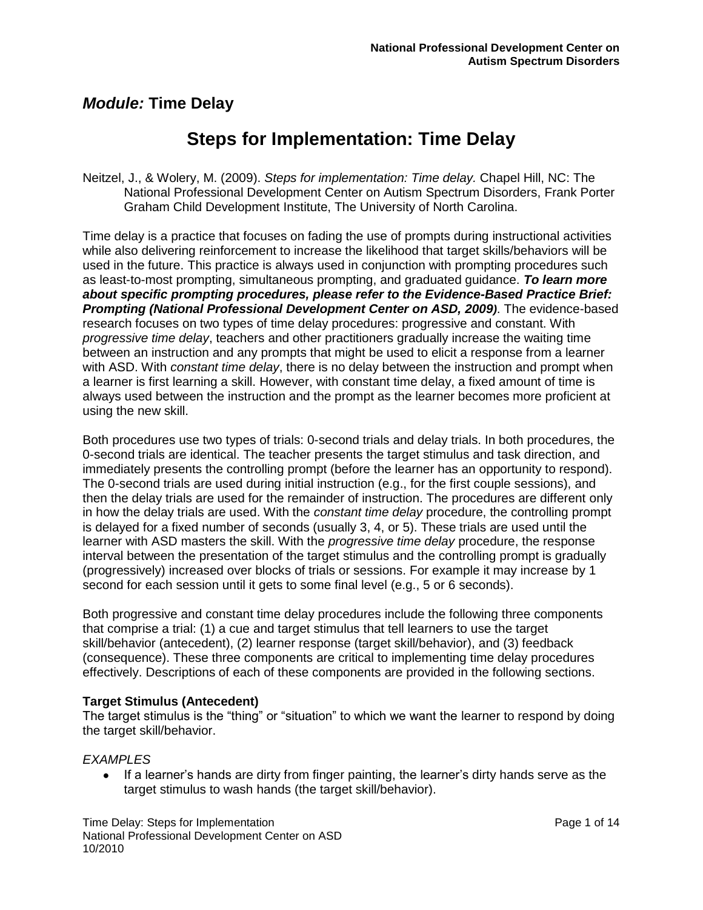# **Steps for Implementation: Time Delay**

Neitzel, J., & Wolery, M. (2009). *Steps for implementation: Time delay.* Chapel Hill, NC: The National Professional Development Center on Autism Spectrum Disorders, Frank Porter Graham Child Development Institute, The University of North Carolina.

Time delay is a practice that focuses on fading the use of prompts during instructional activities while also delivering reinforcement to increase the likelihood that target skills/behaviors will be used in the future. This practice is always used in conjunction with prompting procedures such as least-to-most prompting, simultaneous prompting, and graduated guidance. *To learn more about specific prompting procedures, please refer to the Evidence-Based Practice Brief: Prompting (National Professional Development Center on ASD, 2009)*. The evidence-based research focuses on two types of time delay procedures: progressive and constant. With *progressive time delay*, teachers and other practitioners gradually increase the waiting time between an instruction and any prompts that might be used to elicit a response from a learner with ASD. With *constant time delay*, there is no delay between the instruction and prompt when a learner is first learning a skill. However, with constant time delay, a fixed amount of time is always used between the instruction and the prompt as the learner becomes more proficient at using the new skill.

Both procedures use two types of trials: 0-second trials and delay trials. In both procedures, the 0-second trials are identical. The teacher presents the target stimulus and task direction, and immediately presents the controlling prompt (before the learner has an opportunity to respond). The 0-second trials are used during initial instruction (e.g., for the first couple sessions), and then the delay trials are used for the remainder of instruction. The procedures are different only in how the delay trials are used. With the *constant time delay* procedure, the controlling prompt is delayed for a fixed number of seconds (usually 3, 4, or 5). These trials are used until the learner with ASD masters the skill. With the *progressive time delay* procedure, the response interval between the presentation of the target stimulus and the controlling prompt is gradually (progressively) increased over blocks of trials or sessions. For example it may increase by 1 second for each session until it gets to some final level (e.g., 5 or 6 seconds).

Both progressive and constant time delay procedures include the following three components that comprise a trial: (1) a cue and target stimulus that tell learners to use the target skill/behavior (antecedent), (2) learner response (target skill/behavior), and (3) feedback (consequence). These three components are critical to implementing time delay procedures effectively. Descriptions of each of these components are provided in the following sections.

#### **Target Stimulus (Antecedent)**

The target stimulus is the "thing" or "situation" to which we want the learner to respond by doing the target skill/behavior.

#### *EXAMPLES*

• If a learner's hands are dirty from finger painting, the learner's dirty hands serve as the target stimulus to wash hands (the target skill/behavior).

Time Delay: Steps for Implementation **Page 1** of 14 National Professional Development Center on ASD 10/2010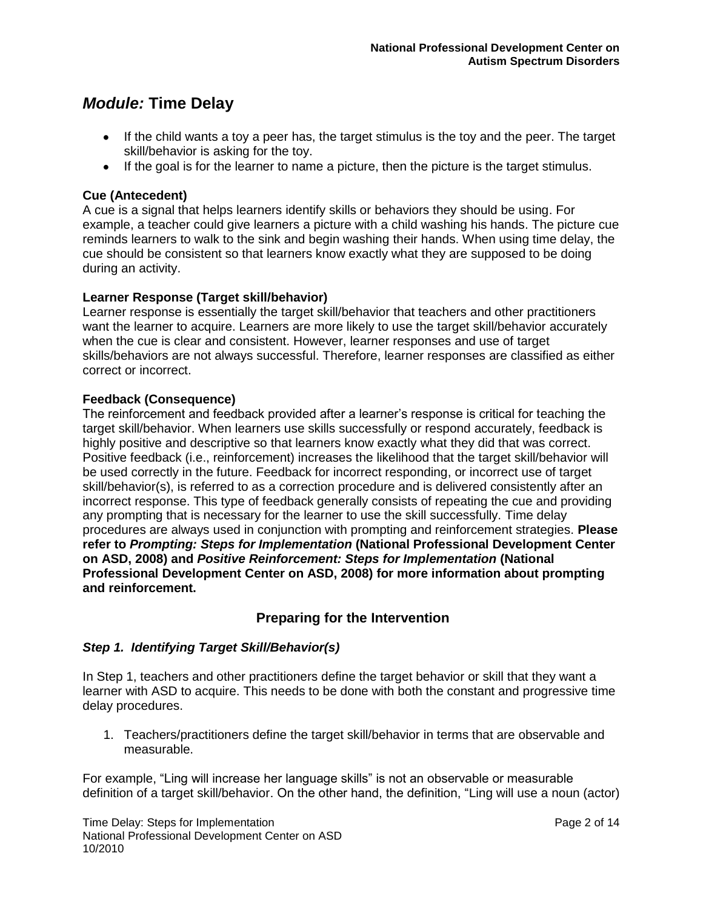- $\bullet$  If the child wants a toy a peer has, the target stimulus is the toy and the peer. The target skill/behavior is asking for the toy.
- If the goal is for the learner to name a picture, then the picture is the target stimulus.

#### **Cue (Antecedent)**

A cue is a signal that helps learners identify skills or behaviors they should be using. For example, a teacher could give learners a picture with a child washing his hands. The picture cue reminds learners to walk to the sink and begin washing their hands. When using time delay, the cue should be consistent so that learners know exactly what they are supposed to be doing during an activity.

#### **Learner Response (Target skill/behavior)**

Learner response is essentially the target skill/behavior that teachers and other practitioners want the learner to acquire. Learners are more likely to use the target skill/behavior accurately when the cue is clear and consistent. However, learner responses and use of target skills/behaviors are not always successful. Therefore, learner responses are classified as either correct or incorrect.

#### **Feedback (Consequence)**

The reinforcement and feedback provided after a learner"s response is critical for teaching the target skill/behavior. When learners use skills successfully or respond accurately, feedback is highly positive and descriptive so that learners know exactly what they did that was correct. Positive feedback (i.e., reinforcement) increases the likelihood that the target skill/behavior will be used correctly in the future. Feedback for incorrect responding, or incorrect use of target skill/behavior(s), is referred to as a correction procedure and is delivered consistently after an incorrect response. This type of feedback generally consists of repeating the cue and providing any prompting that is necessary for the learner to use the skill successfully. Time delay procedures are always used in conjunction with prompting and reinforcement strategies. **Please refer to** *Prompting: Steps for Implementation* **(National Professional Development Center on ASD, 2008) and** *Positive Reinforcement: Steps for Implementation* **(National Professional Development Center on ASD, 2008) for more information about prompting and reinforcement.**

### **Preparing for the Intervention**

### *Step 1. Identifying Target Skill/Behavior(s)*

In Step 1, teachers and other practitioners define the target behavior or skill that they want a learner with ASD to acquire. This needs to be done with both the constant and progressive time delay procedures.

1. Teachers/practitioners define the target skill/behavior in terms that are observable and measurable.

For example, "Ling will increase her language skills" is not an observable or measurable definition of a target skill/behavior. On the other hand, the definition, "Ling will use a noun (actor)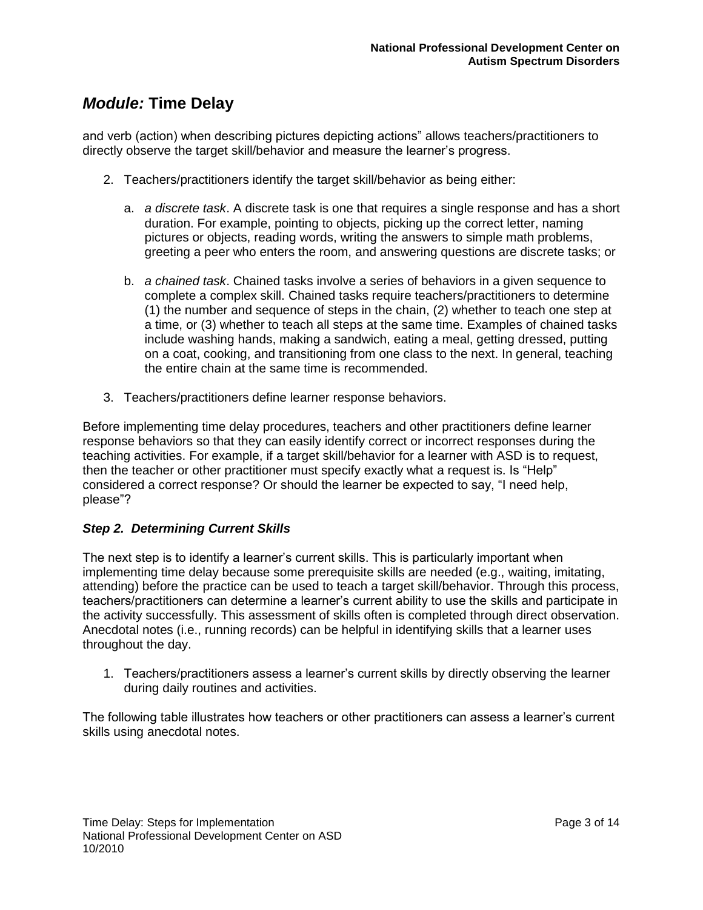and verb (action) when describing pictures depicting actions" allows teachers/practitioners to directly observe the target skill/behavior and measure the learner"s progress.

- 2. Teachers/practitioners identify the target skill/behavior as being either:
	- a. *a discrete task*. A discrete task is one that requires a single response and has a short duration. For example, pointing to objects, picking up the correct letter, naming pictures or objects, reading words, writing the answers to simple math problems, greeting a peer who enters the room, and answering questions are discrete tasks; or
	- b. *a chained task*. Chained tasks involve a series of behaviors in a given sequence to complete a complex skill. Chained tasks require teachers/practitioners to determine (1) the number and sequence of steps in the chain, (2) whether to teach one step at a time, or (3) whether to teach all steps at the same time. Examples of chained tasks include washing hands, making a sandwich, eating a meal, getting dressed, putting on a coat, cooking, and transitioning from one class to the next. In general, teaching the entire chain at the same time is recommended.
- 3. Teachers/practitioners define learner response behaviors.

Before implementing time delay procedures, teachers and other practitioners define learner response behaviors so that they can easily identify correct or incorrect responses during the teaching activities. For example, if a target skill/behavior for a learner with ASD is to request, then the teacher or other practitioner must specify exactly what a request is. Is "Help" considered a correct response? Or should the learner be expected to say, "I need help, please"?

### *Step 2. Determining Current Skills*

The next step is to identify a learner"s current skills. This is particularly important when implementing time delay because some prerequisite skills are needed (e.g., waiting, imitating, attending) before the practice can be used to teach a target skill/behavior. Through this process, teachers/practitioners can determine a learner"s current ability to use the skills and participate in the activity successfully. This assessment of skills often is completed through direct observation. Anecdotal notes (i.e., running records) can be helpful in identifying skills that a learner uses throughout the day.

1. Teachers/practitioners assess a learner"s current skills by directly observing the learner during daily routines and activities.

The following table illustrates how teachers or other practitioners can assess a learner"s current skills using anecdotal notes.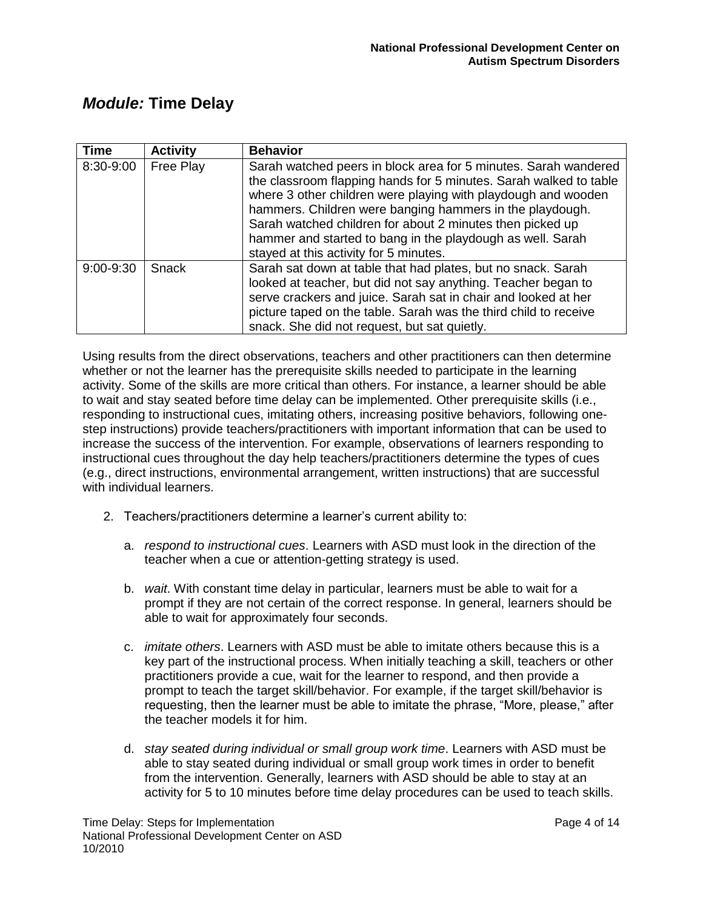| <b>Time</b> | <b>Activity</b> | <b>Behavior</b>                                                                                                                                                                                                                                                                                                                                                                                                                        |  |
|-------------|-----------------|----------------------------------------------------------------------------------------------------------------------------------------------------------------------------------------------------------------------------------------------------------------------------------------------------------------------------------------------------------------------------------------------------------------------------------------|--|
| 8:30-9:00   | Free Play       | Sarah watched peers in block area for 5 minutes. Sarah wandered<br>the classroom flapping hands for 5 minutes. Sarah walked to table<br>where 3 other children were playing with playdough and wooden<br>hammers. Children were banging hammers in the playdough.<br>Sarah watched children for about 2 minutes then picked up<br>hammer and started to bang in the playdough as well. Sarah<br>stayed at this activity for 5 minutes. |  |
| 9:00-9:30   | Snack           | Sarah sat down at table that had plates, but no snack. Sarah<br>looked at teacher, but did not say anything. Teacher began to<br>serve crackers and juice. Sarah sat in chair and looked at her<br>picture taped on the table. Sarah was the third child to receive<br>snack. She did not request, but sat quietly.                                                                                                                    |  |

Using results from the direct observations, teachers and other practitioners can then determine whether or not the learner has the prerequisite skills needed to participate in the learning activity. Some of the skills are more critical than others. For instance, a learner should be able to wait and stay seated before time delay can be implemented. Other prerequisite skills (i.e., responding to instructional cues, imitating others, increasing positive behaviors, following onestep instructions) provide teachers/practitioners with important information that can be used to increase the success of the intervention. For example, observations of learners responding to instructional cues throughout the day help teachers/practitioners determine the types of cues (e.g., direct instructions, environmental arrangement, written instructions) that are successful with individual learners.

- 2. Teachers/practitioners determine a learner"s current ability to:
	- a. *respond to instructional cues*. Learners with ASD must look in the direction of the teacher when a cue or attention-getting strategy is used.
	- b. *wait*. With constant time delay in particular, learners must be able to wait for a prompt if they are not certain of the correct response. In general, learners should be able to wait for approximately four seconds.
	- c. *imitate others*. Learners with ASD must be able to imitate others because this is a key part of the instructional process. When initially teaching a skill, teachers or other practitioners provide a cue, wait for the learner to respond, and then provide a prompt to teach the target skill/behavior. For example, if the target skill/behavior is requesting, then the learner must be able to imitate the phrase, "More, please," after the teacher models it for him.
	- d. *stay seated during individual or small group work time*. Learners with ASD must be able to stay seated during individual or small group work times in order to benefit from the intervention. Generally, learners with ASD should be able to stay at an activity for 5 to 10 minutes before time delay procedures can be used to teach skills.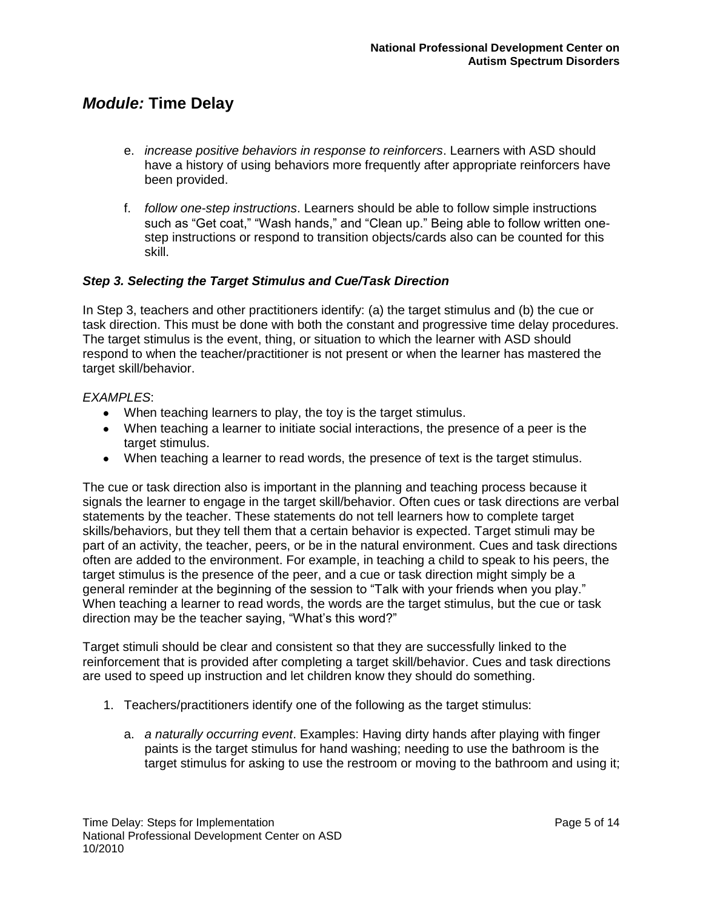- e. *increase positive behaviors in response to reinforcers*. Learners with ASD should have a history of using behaviors more frequently after appropriate reinforcers have been provided.
- f. *follow one-step instructions*. Learners should be able to follow simple instructions such as "Get coat," "Wash hands," and "Clean up." Being able to follow written onestep instructions or respond to transition objects/cards also can be counted for this skill.

#### *Step 3. Selecting the Target Stimulus and Cue/Task Direction*

In Step 3, teachers and other practitioners identify: (a) the target stimulus and (b) the cue or task direction. This must be done with both the constant and progressive time delay procedures. The target stimulus is the event, thing, or situation to which the learner with ASD should respond to when the teacher/practitioner is not present or when the learner has mastered the target skill/behavior.

#### *EXAMPLES*:

- When teaching learners to play, the toy is the target stimulus.
- When teaching a learner to initiate social interactions, the presence of a peer is the target stimulus.
- When teaching a learner to read words, the presence of text is the target stimulus.

The cue or task direction also is important in the planning and teaching process because it signals the learner to engage in the target skill/behavior. Often cues or task directions are verbal statements by the teacher. These statements do not tell learners how to complete target skills/behaviors, but they tell them that a certain behavior is expected. Target stimuli may be part of an activity, the teacher, peers, or be in the natural environment. Cues and task directions often are added to the environment. For example, in teaching a child to speak to his peers, the target stimulus is the presence of the peer, and a cue or task direction might simply be a general reminder at the beginning of the session to "Talk with your friends when you play." When teaching a learner to read words, the words are the target stimulus, but the cue or task direction may be the teacher saying, "What"s this word?"

Target stimuli should be clear and consistent so that they are successfully linked to the reinforcement that is provided after completing a target skill/behavior. Cues and task directions are used to speed up instruction and let children know they should do something.

- 1. Teachers/practitioners identify one of the following as the target stimulus:
	- a. *a naturally occurring event*. Examples: Having dirty hands after playing with finger paints is the target stimulus for hand washing; needing to use the bathroom is the target stimulus for asking to use the restroom or moving to the bathroom and using it;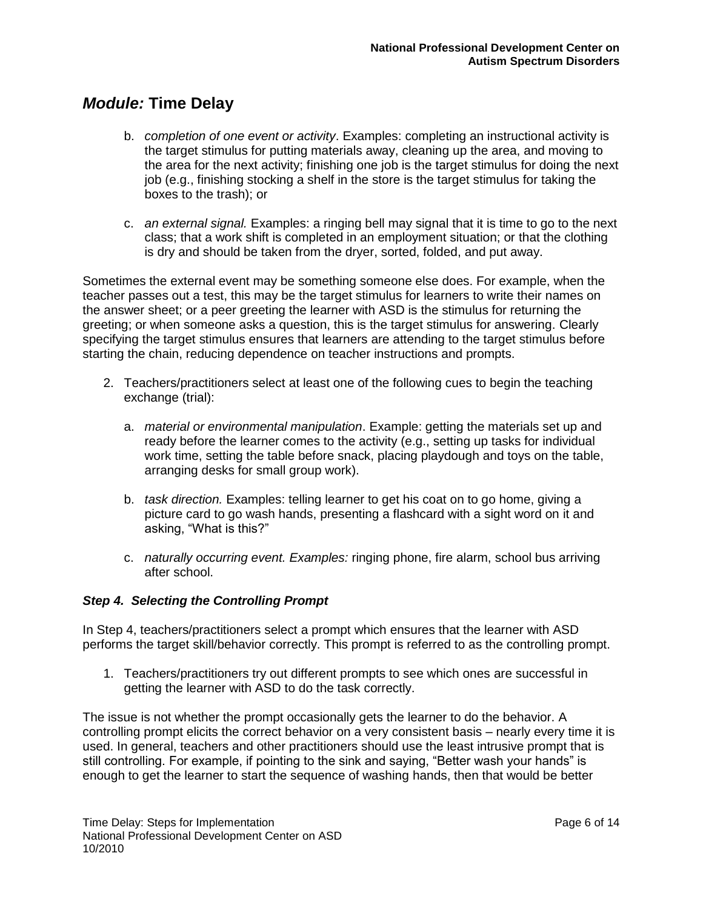- b. *completion of one event or activity*. Examples: completing an instructional activity is the target stimulus for putting materials away, cleaning up the area, and moving to the area for the next activity; finishing one job is the target stimulus for doing the next job (e.g., finishing stocking a shelf in the store is the target stimulus for taking the boxes to the trash); or
- c. *an external signal.* Examples: a ringing bell may signal that it is time to go to the next class; that a work shift is completed in an employment situation; or that the clothing is dry and should be taken from the dryer, sorted, folded, and put away.

Sometimes the external event may be something someone else does. For example, when the teacher passes out a test, this may be the target stimulus for learners to write their names on the answer sheet; or a peer greeting the learner with ASD is the stimulus for returning the greeting; or when someone asks a question, this is the target stimulus for answering. Clearly specifying the target stimulus ensures that learners are attending to the target stimulus before starting the chain, reducing dependence on teacher instructions and prompts.

- 2. Teachers/practitioners select at least one of the following cues to begin the teaching exchange (trial):
	- a. *material or environmental manipulation*. Example: getting the materials set up and ready before the learner comes to the activity (e.g., setting up tasks for individual work time, setting the table before snack, placing playdough and toys on the table, arranging desks for small group work).
	- b. *task direction.* Examples: telling learner to get his coat on to go home, giving a picture card to go wash hands, presenting a flashcard with a sight word on it and asking, "What is this?"
	- c. *naturally occurring event. Examples:* ringing phone, fire alarm, school bus arriving after school.

#### *Step 4. Selecting the Controlling Prompt*

In Step 4, teachers/practitioners select a prompt which ensures that the learner with ASD performs the target skill/behavior correctly. This prompt is referred to as the controlling prompt.

1. Teachers/practitioners try out different prompts to see which ones are successful in getting the learner with ASD to do the task correctly.

The issue is not whether the prompt occasionally gets the learner to do the behavior. A controlling prompt elicits the correct behavior on a very consistent basis – nearly every time it is used. In general, teachers and other practitioners should use the least intrusive prompt that is still controlling. For example, if pointing to the sink and saying, "Better wash your hands" is enough to get the learner to start the sequence of washing hands, then that would be better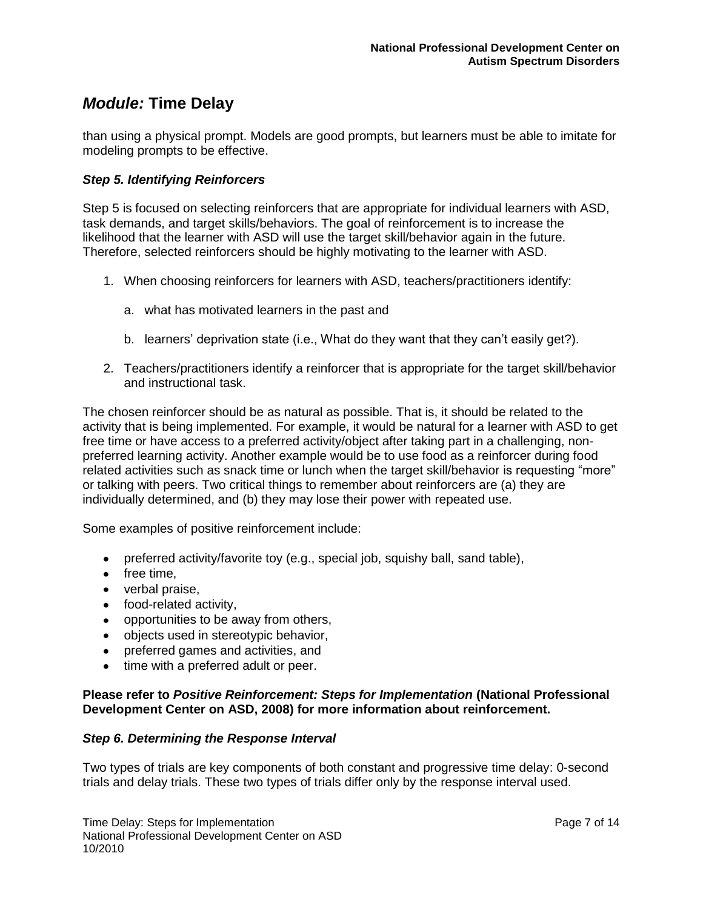than using a physical prompt. Models are good prompts, but learners must be able to imitate for modeling prompts to be effective.

#### *Step 5. Identifying Reinforcers*

Step 5 is focused on selecting reinforcers that are appropriate for individual learners with ASD, task demands, and target skills/behaviors. The goal of reinforcement is to increase the likelihood that the learner with ASD will use the target skill/behavior again in the future. Therefore, selected reinforcers should be highly motivating to the learner with ASD.

- 1. When choosing reinforcers for learners with ASD, teachers/practitioners identify:
	- a. what has motivated learners in the past and
	- b. learners" deprivation state (i.e., What do they want that they can"t easily get?).
- 2. Teachers/practitioners identify a reinforcer that is appropriate for the target skill/behavior and instructional task.

The chosen reinforcer should be as natural as possible. That is, it should be related to the activity that is being implemented. For example, it would be natural for a learner with ASD to get free time or have access to a preferred activity/object after taking part in a challenging, nonpreferred learning activity. Another example would be to use food as a reinforcer during food related activities such as snack time or lunch when the target skill/behavior is requesting "more" or talking with peers. Two critical things to remember about reinforcers are (a) they are individually determined, and (b) they may lose their power with repeated use.

Some examples of positive reinforcement include:

- preferred activity/favorite toy (e.g., special job, squishy ball, sand table),
- $\bullet$  free time,
- verbal praise,
- food-related activity,
- opportunities to be away from others,
- objects used in stereotypic behavior,
- preferred games and activities, and
- time with a preferred adult or peer.

#### **Please refer to** *Positive Reinforcement: Steps for Implementation* **(National Professional Development Center on ASD, 2008) for more information about reinforcement.**

#### *Step 6. Determining the Response Interval*

Two types of trials are key components of both constant and progressive time delay: 0-second trials and delay trials. These two types of trials differ only by the response interval used.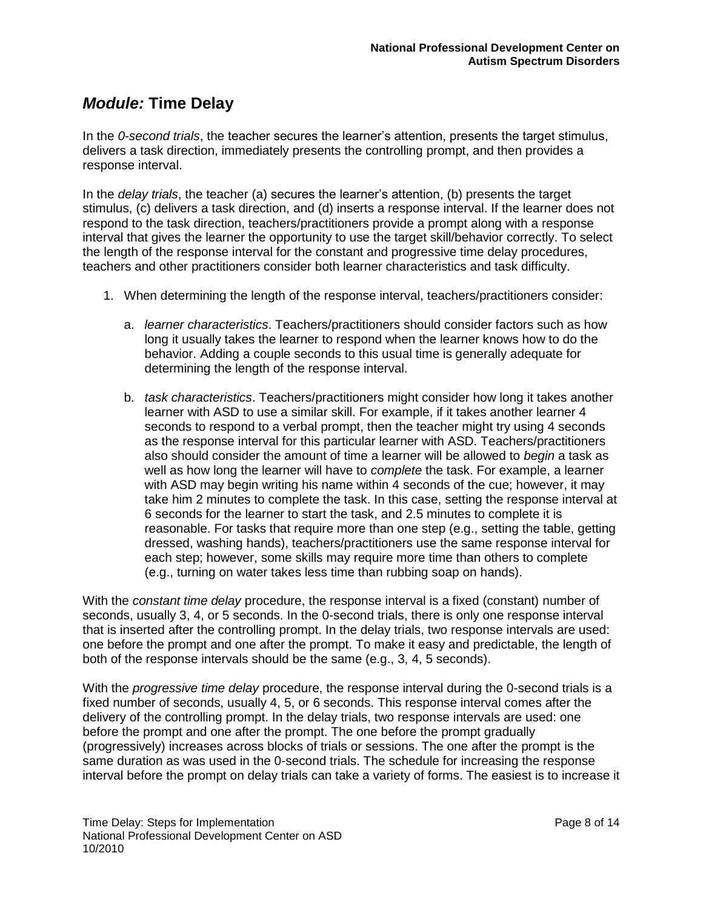In the *0-second trials*, the teacher secures the learner"s attention, presents the target stimulus, delivers a task direction, immediately presents the controlling prompt, and then provides a response interval.

In the *delay trials*, the teacher (a) secures the learner"s attention, (b) presents the target stimulus, (c) delivers a task direction, and (d) inserts a response interval. If the learner does not respond to the task direction, teachers/practitioners provide a prompt along with a response interval that gives the learner the opportunity to use the target skill/behavior correctly. To select the length of the response interval for the constant and progressive time delay procedures, teachers and other practitioners consider both learner characteristics and task difficulty.

- 1. When determining the length of the response interval, teachers/practitioners consider:
	- a. *learner characteristics*. Teachers/practitioners should consider factors such as how long it usually takes the learner to respond when the learner knows how to do the behavior. Adding a couple seconds to this usual time is generally adequate for determining the length of the response interval.
	- b. *task characteristics*. Teachers/practitioners might consider how long it takes another learner with ASD to use a similar skill. For example, if it takes another learner 4 seconds to respond to a verbal prompt, then the teacher might try using 4 seconds as the response interval for this particular learner with ASD. Teachers/practitioners also should consider the amount of time a learner will be allowed to *begin* a task as well as how long the learner will have to *complete* the task. For example, a learner with ASD may begin writing his name within 4 seconds of the cue; however, it may take him 2 minutes to complete the task. In this case, setting the response interval at 6 seconds for the learner to start the task, and 2.5 minutes to complete it is reasonable. For tasks that require more than one step (e.g., setting the table, getting dressed, washing hands), teachers/practitioners use the same response interval for each step; however, some skills may require more time than others to complete (e.g., turning on water takes less time than rubbing soap on hands).

With the *constant time delay* procedure, the response interval is a fixed (constant) number of seconds, usually 3, 4, or 5 seconds. In the 0-second trials, there is only one response interval that is inserted after the controlling prompt. In the delay trials, two response intervals are used: one before the prompt and one after the prompt. To make it easy and predictable, the length of both of the response intervals should be the same (e.g., 3, 4, 5 seconds).

With the *progressive time delay* procedure, the response interval during the 0-second trials is a fixed number of seconds, usually 4, 5, or 6 seconds. This response interval comes after the delivery of the controlling prompt. In the delay trials, two response intervals are used: one before the prompt and one after the prompt. The one before the prompt gradually (progressively) increases across blocks of trials or sessions. The one after the prompt is the same duration as was used in the 0-second trials. The schedule for increasing the response interval before the prompt on delay trials can take a variety of forms. The easiest is to increase it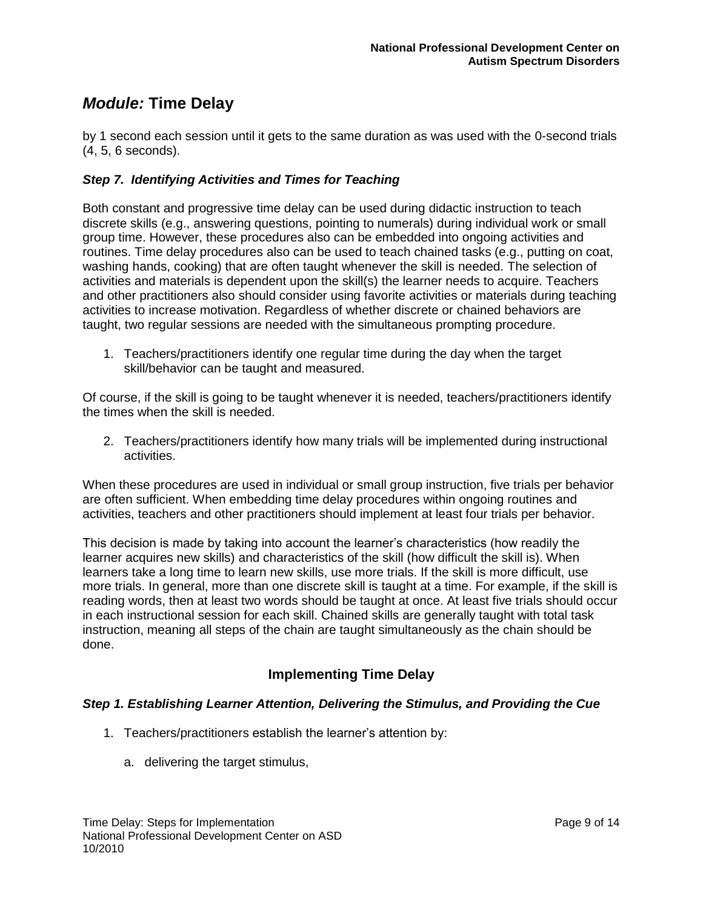by 1 second each session until it gets to the same duration as was used with the 0-second trials (4, 5, 6 seconds).

#### *Step 7. Identifying Activities and Times for Teaching*

Both constant and progressive time delay can be used during didactic instruction to teach discrete skills (e.g., answering questions, pointing to numerals) during individual work or small group time. However, these procedures also can be embedded into ongoing activities and routines. Time delay procedures also can be used to teach chained tasks (e.g., putting on coat, washing hands, cooking) that are often taught whenever the skill is needed. The selection of activities and materials is dependent upon the skill(s) the learner needs to acquire. Teachers and other practitioners also should consider using favorite activities or materials during teaching activities to increase motivation. Regardless of whether discrete or chained behaviors are taught, two regular sessions are needed with the simultaneous prompting procedure.

1. Teachers/practitioners identify one regular time during the day when the target skill/behavior can be taught and measured.

Of course, if the skill is going to be taught whenever it is needed, teachers/practitioners identify the times when the skill is needed.

2. Teachers/practitioners identify how many trials will be implemented during instructional activities.

When these procedures are used in individual or small group instruction, five trials per behavior are often sufficient. When embedding time delay procedures within ongoing routines and activities, teachers and other practitioners should implement at least four trials per behavior.

This decision is made by taking into account the learner"s characteristics (how readily the learner acquires new skills) and characteristics of the skill (how difficult the skill is). When learners take a long time to learn new skills, use more trials. If the skill is more difficult, use more trials. In general, more than one discrete skill is taught at a time. For example, if the skill is reading words, then at least two words should be taught at once. At least five trials should occur in each instructional session for each skill. Chained skills are generally taught with total task instruction, meaning all steps of the chain are taught simultaneously as the chain should be done.

### **Implementing Time Delay**

#### *Step 1. Establishing Learner Attention, Delivering the Stimulus, and Providing the Cue*

- 1. Teachers/practitioners establish the learner"s attention by:
	- a. delivering the target stimulus,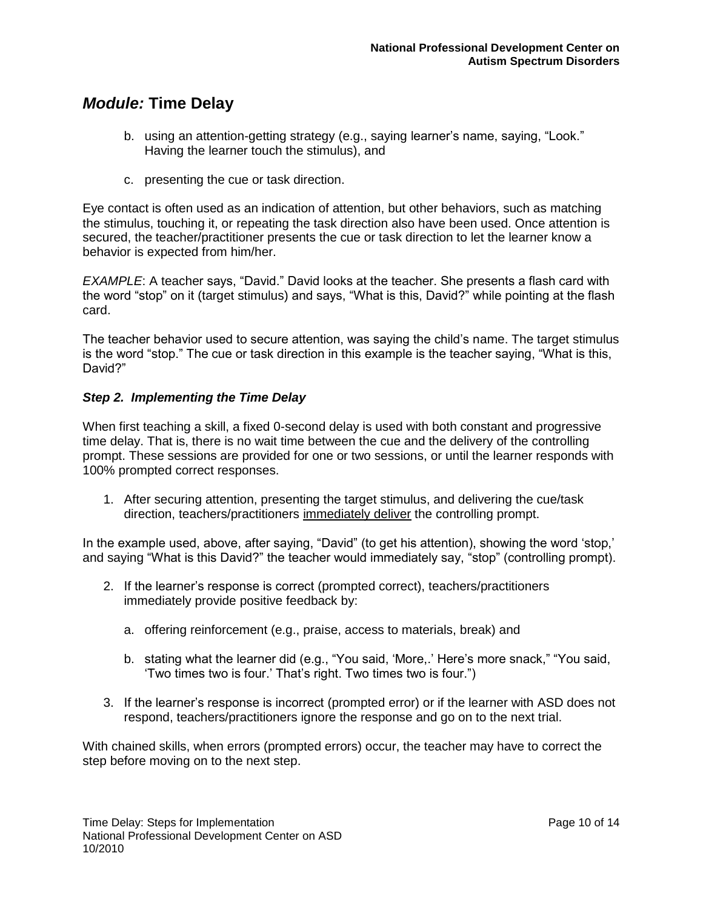- b. using an attention-getting strategy (e.g., saying learner"s name, saying, "Look." Having the learner touch the stimulus), and
- c. presenting the cue or task direction.

Eye contact is often used as an indication of attention, but other behaviors, such as matching the stimulus, touching it, or repeating the task direction also have been used. Once attention is secured, the teacher/practitioner presents the cue or task direction to let the learner know a behavior is expected from him/her.

*EXAMPLE*: A teacher says, "David." David looks at the teacher. She presents a flash card with the word "stop" on it (target stimulus) and says, "What is this, David?" while pointing at the flash card.

The teacher behavior used to secure attention, was saying the child"s name. The target stimulus is the word "stop." The cue or task direction in this example is the teacher saying, "What is this, David?"

#### *Step 2. Implementing the Time Delay*

When first teaching a skill, a fixed 0-second delay is used with both constant and progressive time delay. That is, there is no wait time between the cue and the delivery of the controlling prompt. These sessions are provided for one or two sessions, or until the learner responds with 100% prompted correct responses.

1. After securing attention, presenting the target stimulus, and delivering the cue/task direction, teachers/practitioners immediately deliver the controlling prompt.

In the example used, above, after saying, "David" (to get his attention), showing the word "stop," and saying "What is this David?" the teacher would immediately say, "stop" (controlling prompt).

- 2. If the learner"s response is correct (prompted correct), teachers/practitioners immediately provide positive feedback by:
	- a. offering reinforcement (e.g., praise, access to materials, break) and
	- b. stating what the learner did (e.g., "You said, "More,." Here"s more snack," "You said, 'Two times two is four.' That's right. Two times two is four.")
- 3. If the learner"s response is incorrect (prompted error) or if the learner with ASD does not respond, teachers/practitioners ignore the response and go on to the next trial.

With chained skills, when errors (prompted errors) occur, the teacher may have to correct the step before moving on to the next step.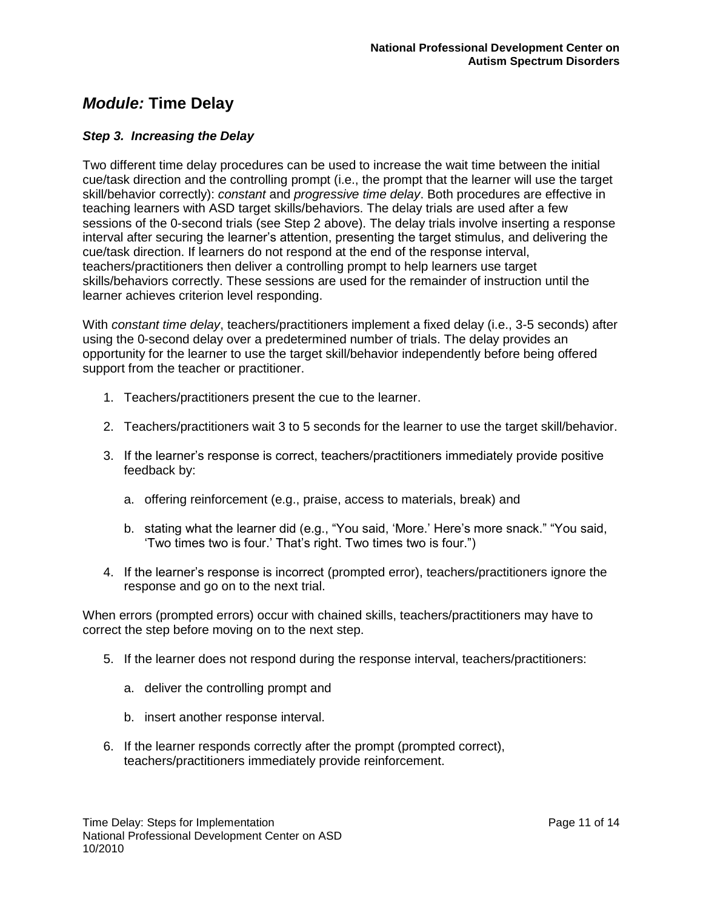#### *Step 3. Increasing the Delay*

Two different time delay procedures can be used to increase the wait time between the initial cue/task direction and the controlling prompt (i.e., the prompt that the learner will use the target skill/behavior correctly): *constant* and *progressive time delay*. Both procedures are effective in teaching learners with ASD target skills/behaviors. The delay trials are used after a few sessions of the 0-second trials (see Step 2 above). The delay trials involve inserting a response interval after securing the learner"s attention, presenting the target stimulus, and delivering the cue/task direction. If learners do not respond at the end of the response interval, teachers/practitioners then deliver a controlling prompt to help learners use target skills/behaviors correctly. These sessions are used for the remainder of instruction until the learner achieves criterion level responding.

With *constant time delay*, teachers/practitioners implement a fixed delay (i.e., 3-5 seconds) after using the 0-second delay over a predetermined number of trials. The delay provides an opportunity for the learner to use the target skill/behavior independently before being offered support from the teacher or practitioner.

- 1. Teachers/practitioners present the cue to the learner.
- 2. Teachers/practitioners wait 3 to 5 seconds for the learner to use the target skill/behavior.
- 3. If the learner"s response is correct, teachers/practitioners immediately provide positive feedback by:
	- a. offering reinforcement (e.g., praise, access to materials, break) and
	- b. stating what the learner did (e.g., "You said, 'More.' Here's more snack." "You said, "Two times two is four." That"s right. Two times two is four.")
- 4. If the learner"s response is incorrect (prompted error), teachers/practitioners ignore the response and go on to the next trial.

When errors (prompted errors) occur with chained skills, teachers/practitioners may have to correct the step before moving on to the next step.

- 5. If the learner does not respond during the response interval, teachers/practitioners:
	- a. deliver the controlling prompt and
	- b. insert another response interval.
- 6. If the learner responds correctly after the prompt (prompted correct), teachers/practitioners immediately provide reinforcement.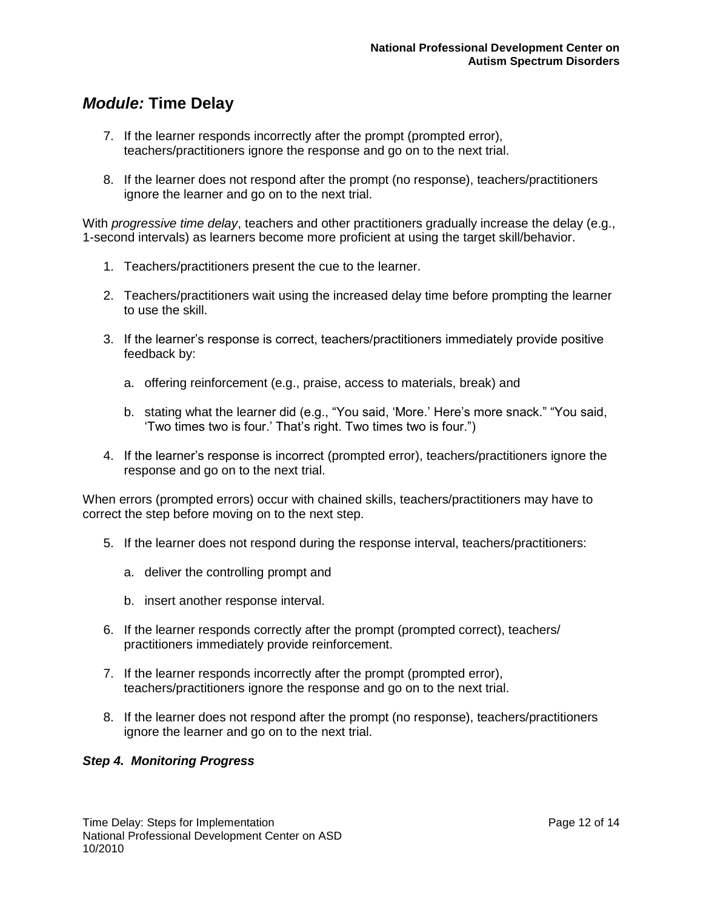- 7. If the learner responds incorrectly after the prompt (prompted error), teachers/practitioners ignore the response and go on to the next trial.
- 8. If the learner does not respond after the prompt (no response), teachers/practitioners ignore the learner and go on to the next trial.

With *progressive time delay*, teachers and other practitioners gradually increase the delay (e.g., 1-second intervals) as learners become more proficient at using the target skill/behavior.

- 1. Teachers/practitioners present the cue to the learner.
- 2. Teachers/practitioners wait using the increased delay time before prompting the learner to use the skill.
- 3. If the learner"s response is correct, teachers/practitioners immediately provide positive feedback by:
	- a. offering reinforcement (e.g., praise, access to materials, break) and
	- b. stating what the learner did (e.g., "You said, "More." Here"s more snack." "You said, "Two times two is four." That"s right. Two times two is four.")
- 4. If the learner"s response is incorrect (prompted error), teachers/practitioners ignore the response and go on to the next trial.

When errors (prompted errors) occur with chained skills, teachers/practitioners may have to correct the step before moving on to the next step.

- 5. If the learner does not respond during the response interval, teachers/practitioners:
	- a. deliver the controlling prompt and
	- b. insert another response interval.
- 6. If the learner responds correctly after the prompt (prompted correct), teachers/ practitioners immediately provide reinforcement.
- 7. If the learner responds incorrectly after the prompt (prompted error), teachers/practitioners ignore the response and go on to the next trial.
- 8. If the learner does not respond after the prompt (no response), teachers/practitioners ignore the learner and go on to the next trial.

#### *Step 4. Monitoring Progress*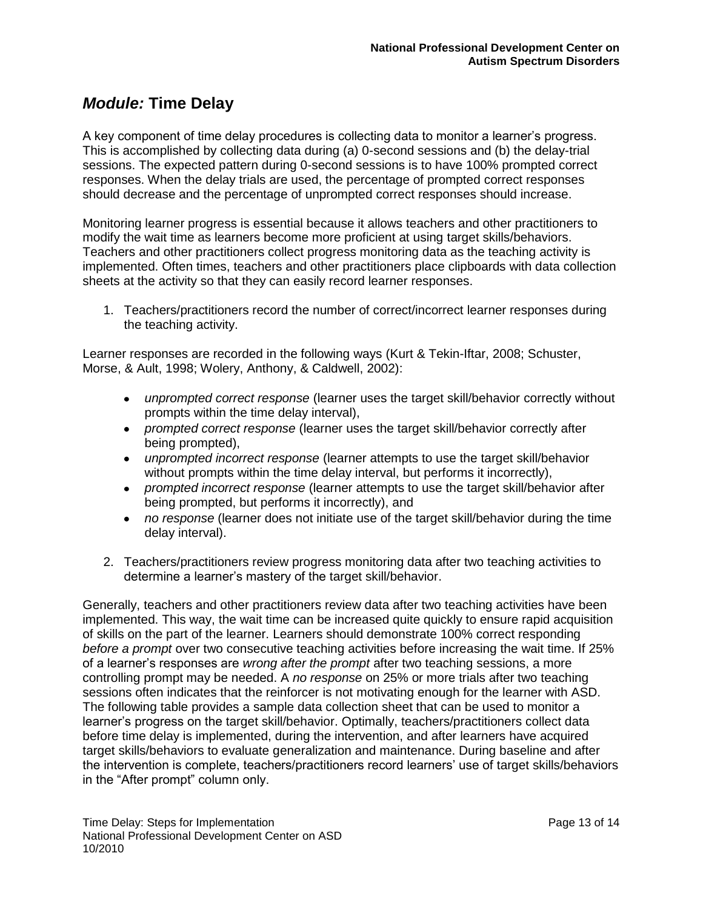A key component of time delay procedures is collecting data to monitor a learner"s progress. This is accomplished by collecting data during (a) 0-second sessions and (b) the delay-trial sessions. The expected pattern during 0-second sessions is to have 100% prompted correct responses. When the delay trials are used, the percentage of prompted correct responses should decrease and the percentage of unprompted correct responses should increase.

Monitoring learner progress is essential because it allows teachers and other practitioners to modify the wait time as learners become more proficient at using target skills/behaviors. Teachers and other practitioners collect progress monitoring data as the teaching activity is implemented. Often times, teachers and other practitioners place clipboards with data collection sheets at the activity so that they can easily record learner responses.

1. Teachers/practitioners record the number of correct/incorrect learner responses during the teaching activity.

Learner responses are recorded in the following ways (Kurt & Tekin-Iftar, 2008; Schuster, Morse, & Ault, 1998; Wolery, Anthony, & Caldwell, 2002):

- *unprompted correct response* (learner uses the target skill/behavior correctly without prompts within the time delay interval),
- *prompted correct response* (learner uses the target skill/behavior correctly after being prompted),
- *unprompted incorrect response* (learner attempts to use the target skill/behavior without prompts within the time delay interval, but performs it incorrectly),
- *prompted incorrect response* (learner attempts to use the target skill/behavior after being prompted, but performs it incorrectly), and
- *no response* (learner does not initiate use of the target skill/behavior during the time delay interval).
- 2. Teachers/practitioners review progress monitoring data after two teaching activities to determine a learner"s mastery of the target skill/behavior.

Generally, teachers and other practitioners review data after two teaching activities have been implemented. This way, the wait time can be increased quite quickly to ensure rapid acquisition of skills on the part of the learner. Learners should demonstrate 100% correct responding *before a prompt* over two consecutive teaching activities before increasing the wait time. If 25% of a learner"s responses are *wrong after the prompt* after two teaching sessions, a more controlling prompt may be needed. A *no response* on 25% or more trials after two teaching sessions often indicates that the reinforcer is not motivating enough for the learner with ASD. The following table provides a sample data collection sheet that can be used to monitor a learner"s progress on the target skill/behavior. Optimally, teachers/practitioners collect data before time delay is implemented, during the intervention, and after learners have acquired target skills/behaviors to evaluate generalization and maintenance. During baseline and after the intervention is complete, teachers/practitioners record learners" use of target skills/behaviors in the "After prompt" column only.